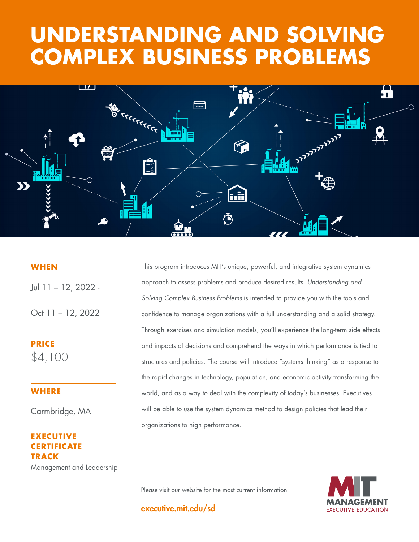# **THE GOOD CONTRACTOR OF A SERVICE STATEMENT OF A SERVICE STATEMENT OF A SERVICE STATEMENT OF A SERVICE STATEMENT UNDERSTANDING AND SOLVING COMPLEX BUSINESS PROBLEMS**



### **WHEN**

Jul 11 – 12, 2022 -

Oct 11 – 12, 2022

**PRICE** \$4,100

### **WHERE**

Carmbridge, MA

**EXECUTIVE RTIFICATE TRACK** Management and Leadership This program introduces MIT's unique, powerful, and integrative system dynamics approach to assess problems and produce desired results. *Understanding and Solving Complex Business Problems* is intended to provide you with the tools and confidence to manage organizations with a full understanding and a solid strategy. Through exercises and simulation models, you'll experience the long-term side effects and impacts of decisions and comprehend the ways in which performance is tied to structures and policies. The course will introduce "systems thinking" as a response to the rapid changes in technology, population, and economic activity transforming the world, and as a way to deal with the complexity of today's businesses. Executives will be able to use the system dynamics method to design policies that lead their organizations to high performance.

Please visit our website for the most current information.

executive.mit.edu/sd